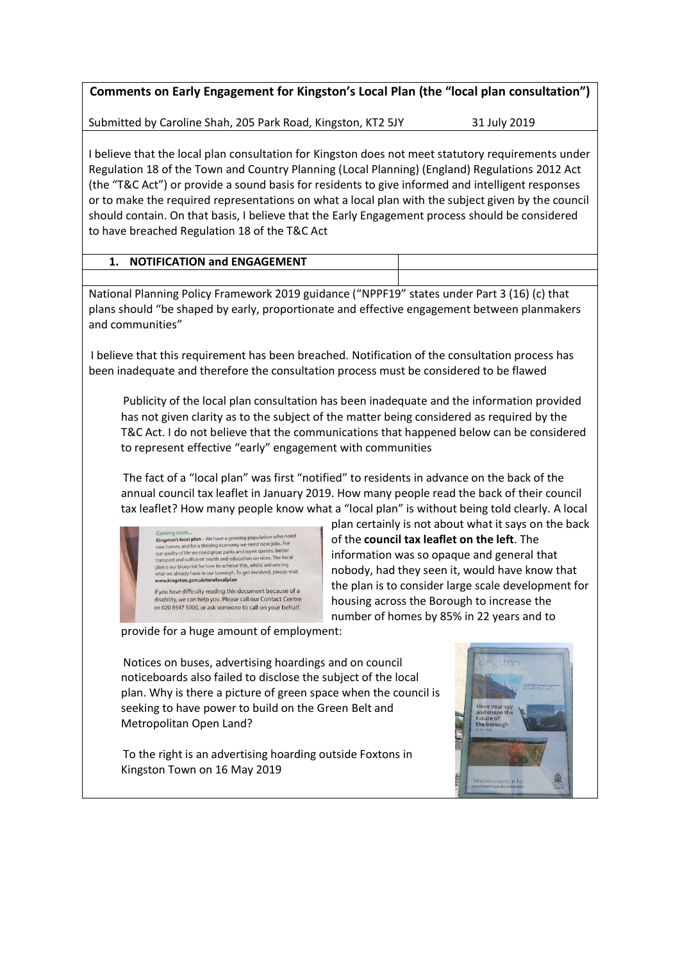**Comments on Early Engagement for Kingston's Local Plan (the "local plan consultation")**

Submitted by Caroline Shah, 205 Park Road, Kingston, KT2 5JY 31 July 2019

I believe that the local plan consultation for Kingston does not meet statutory requirements under Regulation 18 of the Town and Country Planning (Local Planning) (England) Regulations 2012 Act (the "T&C Act") or provide a sound basis for residents to give informed and intelligent responses or to make the required representations on what a local plan with the subject given by the council should contain. On that basis, I believe that the Early Engagement process should be considered to have breached Regulation 18 of the T&C Act

| <b>NOTIFICATION and ENGAGEMENT</b> |  |
|------------------------------------|--|
|                                    |  |

National Planning Policy Framework 2019 guidance ("NPPF19" states under Part 3 (16) (c) that plans should "be shaped by early, proportionate and effective engagement between planmakers and communities"

I believe that this requirement has been breached. Notification of the consultation process has been inadequate and therefore the consultation process must be considered to be flawed

Publicity of the local plan consultation has been inadequate and the information provided has not given clarity as to the subject of the matter being considered as required by the T&C Act. I do not believe that the communications that happened below can be considered to represent effective "early" engagement with communities

The fact of a "local plan" was first "notified" to residents in advance on the back of the annual council tax leaflet in January 2019. How many people read the back of their council tax leaflet? How many people know what a "local plan" is without being told clearly. A local plan certainly is not about what it says on the back

Coming soon...<br> **Kingston's local plan** – We have a growing population who need<br>
new homes, and for a thriving economy we need new jobs. For<br>
our quality of life we need great parks and open spaces, better<br>
transport and s transport and sufficient nearth and equations is expected that is considered in the outport of the whole that the analysis enhancing what we already have in our borough. To get involved, please visit wave kinetage of the w If you have difficulty reading this document because of a

difficulty reading this document because of a<br>ve can help you. Please call our Contact Centre on 020 8547 5000, or ask someone to call on your behalf.

of the **council tax leaflet on the left**. The information was so opaque and general that nobody, had they seen it, would have know that the plan is to consider large scale development for housing across the Borough to increase the number of homes by 85% in 22 years and to

provide for a huge amount of employment:

Notices on buses, advertising hoardings and on council noticeboards also failed to disclose the subject of the local plan. Why is there a picture of green space when the council is seeking to have power to build on the Green Belt and Metropolitan Open Land?

To the right is an advertising hoarding outside Foxtons in Kingston Town on 16 May 2019

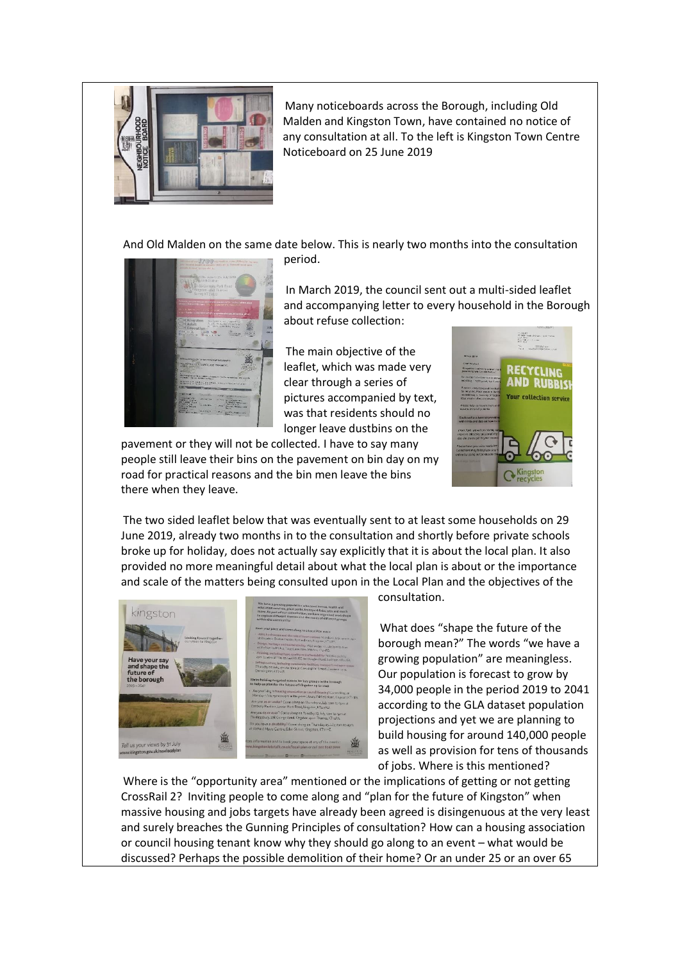

Many noticeboards across the Borough, including Old Malden and Kingston Town, have contained no notice of any consultation at all. To the left is Kingston Town Centre Noticeboard on 25 June 2019

And Old Malden on the same date below. This is nearly two months into the consultation

period.



In March 2019, the council sent out a multi-sided leaflet and accompanying letter to every household in the Borough about refuse collection:

The main objective of the leaflet, which was made very clear through a series of pictures accompanied by text, was that residents should no longer leave dustbins on the

pavement or they will not be collected. I have to say many people still leave their bins on the pavement on bin day on my road for practical reasons and the bin men leave the bins there when they leave.



The two sided leaflet below that was eventually sent to at least some households on 29 June 2019, already two months in to the consultation and shortly before private schools broke up for holiday, does not actually say explicitly that it is about the local plan. It also provided no more meaningful detail about what the local plan is about or the importance and scale of the matters being consulted upon in the Local Plan and the objectives of the



consultation.

What does "shape the future of the borough mean?" The words "we have a growing population" are meaningless. Our population is forecast to grow by 34,000 people in the period 2019 to 2041 according to the GLA dataset population projections and yet we are planning to build housing for around 140,000 people as well as provision for tens of thousands of jobs. Where is this mentioned?

Where is the "opportunity area" mentioned or the implications of getting or not getting CrossRail 2? Inviting people to come along and "plan for the future of Kingston" when massive housing and jobs targets have already been agreed is disingenuous at the very least and surely breaches the Gunning Principles of consultation? How can a housing association or council housing tenant know why they should go along to an event – what would be discussed? Perhaps the possible demolition of their home? Or an under 25 or an over 65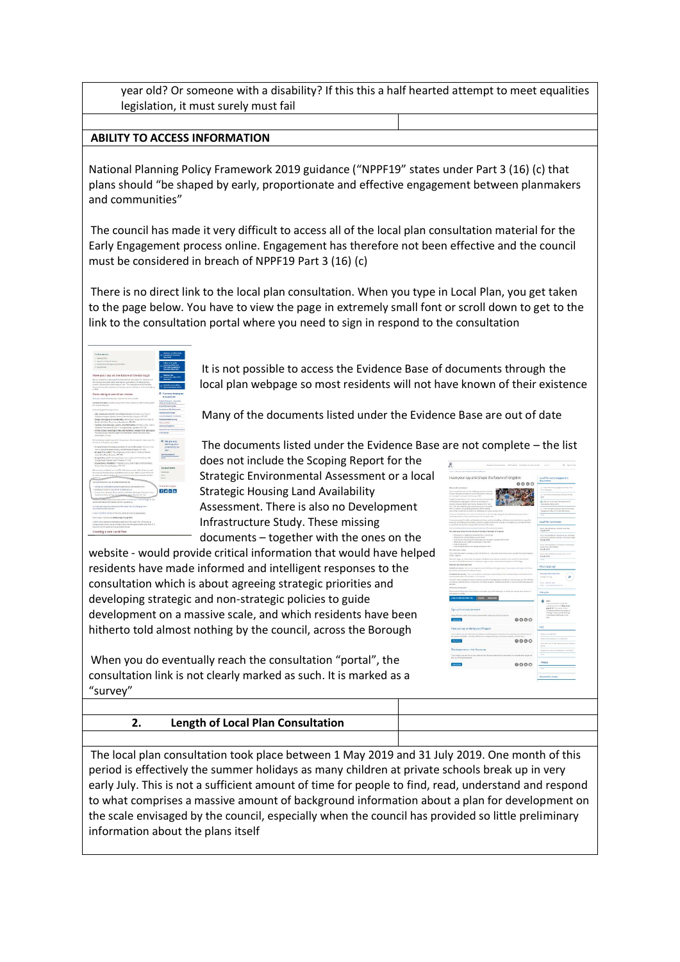year old? Or someone with a disability? If this this a half hearted attempt to meet equalities legislation, it must surely must fail

### **ABILITY TO ACCESS INFORMATION**

National Planning Policy Framework 2019 guidance ("NPPF19" states under Part 3 (16) (c) that plans should "be shaped by early, proportionate and effective engagement between planmakers and communities"

The council has made it very difficult to access all of the local plan consultation material for the Early Engagement process online. Engagement has therefore not been effective and the council must be considered in breach of NPPF19 Part 3 (16) (c)

There is no direct link to the local plan consultation. When you type in Local Plan, you get taken to the page below. You have to view the page in extremely small font or scroll down to get to the link to the consultation portal where you need to sign in respond to the consultation

 $f[x]$  o-  $\ln$ 

It is not possible to access the Evidence Base of documents through the local plan webpage so most residents will not have known of their existence

Many of the documents listed under the Evidence Base are out of date

The documents listed under the Evidence Base are not complete – the list

does not include the Scoping Report for the Strategic Environmental Assessment or a local Strategic Housing Land Availability Assessment. There is also no Development Infrastructure Study. These missing documents – together with the ones on the

website - would provide critical information that would have helped residents have made informed and intelligent responses to the consultation which is about agreeing strategic priorities and developing strategic and non-strategic policies to guide development on a massive scale, and which residents have been hitherto told almost nothing by the council, across the Borough

When you do eventually reach the consultation "portal", the consultation link is not clearly marked as such. It is marked as a "survey"

| 窈<br>ē.                                                                                                                                                                                                                | Gregolan Council aprilerity - Gal Monitority - Nit artistal, post stati, mar skal                                                                                                                                                                | $Q = \log n / n$   Eqs.                                                                                                     |
|------------------------------------------------------------------------------------------------------------------------------------------------------------------------------------------------------------------------|--------------------------------------------------------------------------------------------------------------------------------------------------------------------------------------------------------------------------------------------------|-----------------------------------------------------------------------------------------------------------------------------|
|                                                                                                                                                                                                                        |                                                                                                                                                                                                                                                  |                                                                                                                             |
|                                                                                                                                                                                                                        | Have your say and shape the future of Kingston                                                                                                                                                                                                   | Local Plan warly engagement<br>documents                                                                                    |
| White School of Associate                                                                                                                                                                                              | 0000                                                                                                                                                                                                                                             | U. Intel Nextan Virginian and May 2019                                                                                      |
| substant ads out the challeng in we have add a do<br>The government design that the term of a state of the filter of more one prices<br>patterings centrols to develop to 2041                                         |                                                                                                                                                                                                                                                  | ALCOHOL: N<br>U bia hosopa w m t/day 1970/214 b/R                                                                           |
| hings low's projectation in cast to generated one and any<br>challenging framing surger refer with its Municipal of<br>looker of sheet Wildhistory between MTR and<br>that the also readily was referred and extremely |                                                                                                                                                                                                                                                  | in 1<br>(g) ing he to of the lots missionnels.<br>Garrick Ave 20pc 22.63<br>17. Flate David Ward continues based Plan Books |
| finded in compared over growings proportions and the members<br>(Sevi-Net contribute to havin's and and being and a great grading of ERI                                                                               | The Leval Planned cut aut a second or the factor of the lonescylicant guide artist iterely event precisions.                                                                                                                                     | Projection May 3210 and 4 to chain.<br>1111                                                                                 |
| trade direction and suffered confrontation and interesting from                                                                                                                                                        | formers werenthin right, and developme fores, we drop moveling and because over one on a sound for                                                                                                                                               |                                                                                                                             |
| to a start body manager that of per good but will reset in the studies                                                                                                                                                 | inhances the nells eng of nucleonized that spottcy of the individually. For insights you provide nell belo                                                                                                                                       | Local Plan workshees                                                                                                        |
| becomes insection for both compliances than more for more infinite attack                                                                                                                                              |                                                                                                                                                                                                                                                  | undos Grandes<br>is pay into                                                                                                |
| Ma read pace exten for the future of the Repail Boraugh of Knigston                                                                                                                                                    |                                                                                                                                                                                                                                                  |                                                                                                                             |
| · Warrelser with autumb/active to hit and<br>· What harves and we hide on the we would<br>- What is in the box bank's persister which is just than if                                                                  | a Major do no shorts when hell there do no year hor works, was away and an agent                                                                                                                                                                 | incui pias molulosp. Information, initialing<br>remencing betting, manager, and equin opera-<br>15 p.by 29 KB               |
| - Mary dat was belowed<br>· Pare do places lostias ate change and generation?                                                                                                                                          |                                                                                                                                                                                                                                                  | Encyclop and shows the series belowing types.<br>pietz est eliterating<br>22 Adv 2010                                       |
| We what your steam                                                                                                                                                                                                     | Dock the first supercentaring nor plan for the follows. Sales extensions in have your say and data mater singulars.                                                                                                                              |                                                                                                                             |
| <b>Index Greenes</b>                                                                                                                                                                                                   | He the data we will are the consulation busined and welcoming disk areas card the . We will have                                                                                                                                                 | travel plan exchallent manufall or prior?<br>29 July 2449                                                                   |
|                                                                                                                                                                                                                        | compart and the direct diseasement in a model grow to give and grow morem aloned the pollution are if the stugg.                                                                                                                                 | ---                                                                                                                         |
| they can you have your adult                                                                                                                                                                                           |                                                                                                                                                                                                                                                  |                                                                                                                             |
| provide to intend and are talenary to get                                                                                                                                                                              | listend aus augusts. The are normed declined medicines discussions and the authorities and manager the de-                                                                                                                                       | What's listening?                                                                                                           |
| mais pilot, and it a report to met looney.                                                                                                                                                                             | Campion the carvey - Three are questions coverage respect topoclines heaving, deeps and all                                                                                                                                                      | <b>Strategic Planning Isant</b><br>SÞ<br><b>Shangh Service</b>                                                              |
| actional.                                                                                                                                                                                                              | Receipint from terreport in every incentive but no restrict app year to at over an every access on. The will help<br>on eachers a chiusta presure of select you and fall on Airgeteen testilantic assisted this to you, and altitudely angele to | New additional<br>ingel counselergement.                                                                                    |
| <b>Riest you plinted you?</b>                                                                                                                                                                                          |                                                                                                                                                                                                                                                  |                                                                                                                             |
| development autorists                                                                                                                                                                                                  | Once we the flavor tells which shoes a counsel to may of the beneath, or which tells parts to your chairm of                                                                                                                                     | Life cycle                                                                                                                  |
| CAN LE HOE HN YVINT AN.                                                                                                                                                                                                |                                                                                                                                                                                                                                                  | <b>David</b><br>His concentration is speed by<br>controls at a surface's 1 May 14 Kit                                       |
| Senso for elocal plan event.                                                                                                                                                                                           |                                                                                                                                                                                                                                                  | tale 1919. Discovery of the<br>controllation will be statement as                                                           |
|                                                                                                                                                                                                                        | Pleasant Pall any play advert of far the real and as a district selective property provide this is a contact for                                                                                                                                 | Scyling House at Etherica<br>Committee direct later to the                                                                  |
| <b>Side Leone</b>                                                                                                                                                                                                      | 0000                                                                                                                                                                                                                                             | <b>High</b>                                                                                                                 |
| Have your say on the future of Kingston                                                                                                                                                                                |                                                                                                                                                                                                                                                  | <b>MO</b>                                                                                                                   |
|                                                                                                                                                                                                                        | This is a thing any care and in great contact to detect the about of pour communities and observing a                                                                                                                                            | Winnipeg Length Figure                                                                                                      |
|                                                                                                                                                                                                                        | the replants analysis. Always professionalistic studys, having becomes analysis, and interspect                                                                                                                                                  | the ices payers of a vest that?                                                                                             |
| <b>Martino</b>                                                                                                                                                                                                         | 0000                                                                                                                                                                                                                                             | International Mini-Telephone International Auto<br><b>SERV</b>                                                              |
| She Assessments - their future use                                                                                                                                                                                     |                                                                                                                                                                                                                                                  | (Figure on most this additional Satur) (                                                                                    |
| <b>Me Local Parcdamptones</b>                                                                                                                                                                                          | The students was part of up your research that hill also substanted to the results for<br>explosive expect of                                                                                                                                    | 111                                                                                                                         |
| <b>Ide Leon</b>                                                                                                                                                                                                        | 0000                                                                                                                                                                                                                                             | Phones                                                                                                                      |
|                                                                                                                                                                                                                        |                                                                                                                                                                                                                                                  |                                                                                                                             |
|                                                                                                                                                                                                                        |                                                                                                                                                                                                                                                  | <b>Document Ubrary</b>                                                                                                      |

# **2. Length of Local Plan Consultation**

The local plan consultation took place between 1 May 2019 and 31 July 2019. One month of this period is effectively the summer holidays as many children at private schools break up in very early July. This is not a sufficient amount of time for people to find, read, understand and respond to what comprises a massive amount of background information about a plan for development on the scale envisaged by the council, especially when the council has provided so little preliminary information about the plans itself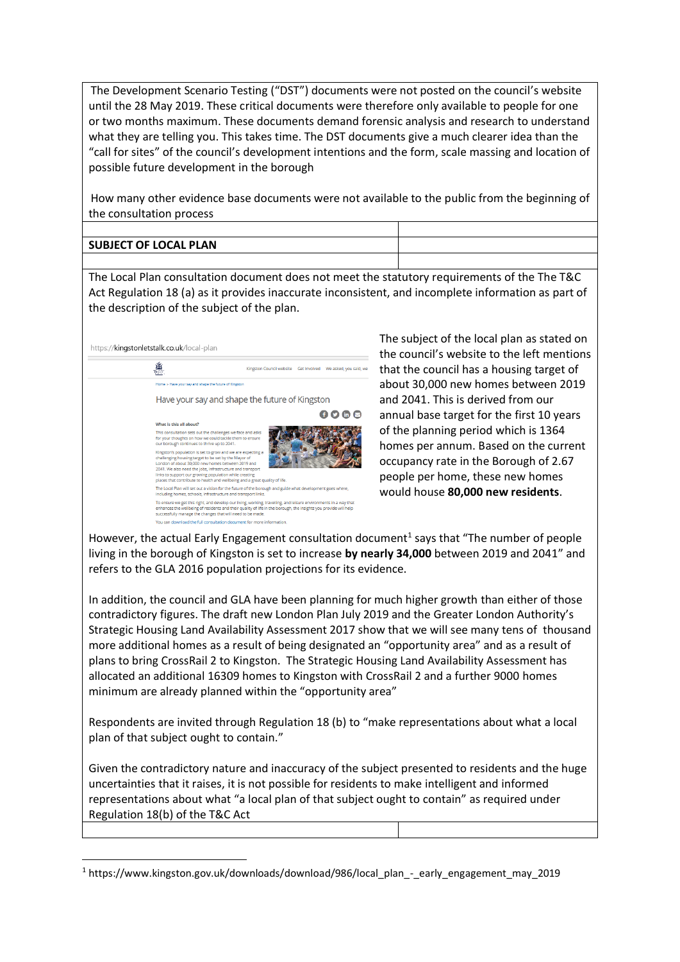The Development Scenario Testing ("DST") documents were not posted on the council's website until the 28 May 2019. These critical documents were therefore only available to people for one or two months maximum. These documents demand forensic analysis and research to understand what they are telling you. This takes time. The DST documents give a much clearer idea than the "call for sites" of the council's development intentions and the form, scale massing and location of possible future development in the borough

How many other evidence base documents were not available to the public from the beginning of the consultation process

| <b>SUBJECT OF LOCAL PLAN</b> |  |
|------------------------------|--|
|                              |  |

The Local Plan consultation document does not meet the statutory requirements of the The T&C Act Regulation 18 (a) as it provides inaccurate inconsistent, and incomplete information as part of the description of the subject of the plan.



1

The subject of the local plan as stated on the council's website to the left mentions that the council has a housing target of about 30,000 new homes between 2019 and 2041. This is derived from our annual base target for the first 10 years of the planning period which is 1364 homes per annum. Based on the current occupancy rate in the Borough of 2.67 people per home, these new homes would house **80,000 new residents**.

However, the actual Early Engagement consultation document<sup>1</sup> says that "The number of people living in the borough of Kingston is set to increase **by nearly 34,000** between 2019 and 2041" and refers to the GLA 2016 population projections for its evidence.

In addition, the council and GLA have been planning for much higher growth than either of those contradictory figures. The draft new London Plan July 2019 and the Greater London Authority's Strategic Housing Land Availability Assessment 2017 show that we will see many tens of thousand more additional homes as a result of being designated an "opportunity area" and as a result of plans to bring CrossRail 2 to Kingston. The Strategic Housing Land Availability Assessment has allocated an additional 16309 homes to Kingston with CrossRail 2 and a further 9000 homes minimum are already planned within the "opportunity area"

Respondents are invited through Regulation 18 (b) to "make representations about what a local plan of that subject ought to contain."

Given the contradictory nature and inaccuracy of the subject presented to residents and the huge uncertainties that it raises, it is not possible for residents to make intelligent and informed representations about what "a local plan of that subject ought to contain" as required under Regulation 18(b) of the T&C Act

<sup>1</sup> https://www.kingston.gov.uk/downloads/download/986/local\_plan\_-\_early\_engagement\_may\_2019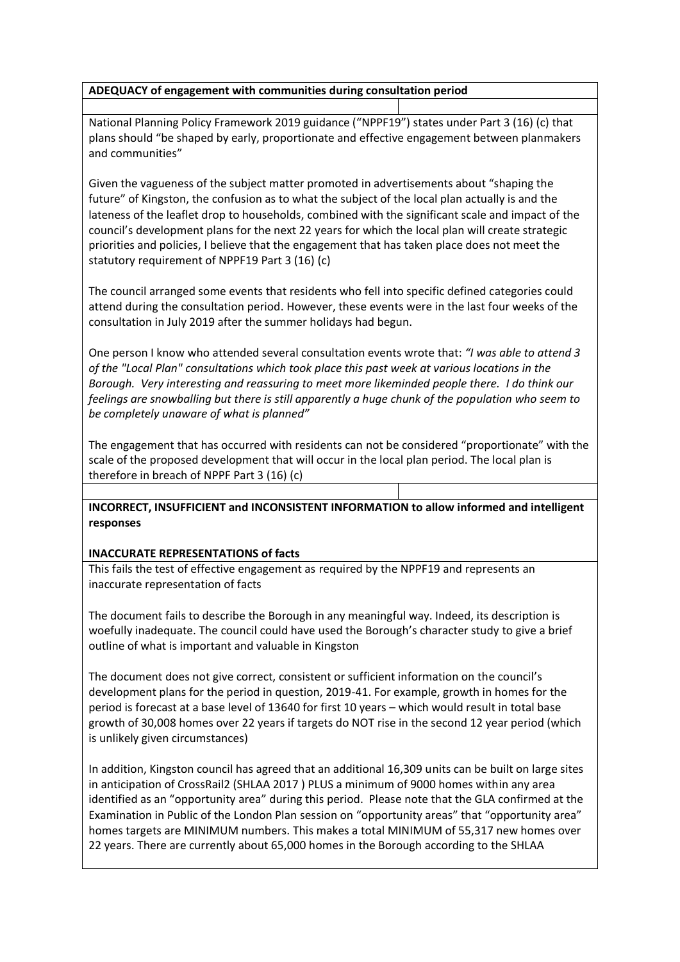### **ADEQUACY of engagement with communities during consultation period**

National Planning Policy Framework 2019 guidance ("NPPF19") states under Part 3 (16) (c) that plans should "be shaped by early, proportionate and effective engagement between planmakers and communities"

Given the vagueness of the subject matter promoted in advertisements about "shaping the future" of Kingston, the confusion as to what the subject of the local plan actually is and the lateness of the leaflet drop to households, combined with the significant scale and impact of the council's development plans for the next 22 years for which the local plan will create strategic priorities and policies, I believe that the engagement that has taken place does not meet the statutory requirement of NPPF19 Part 3 (16) (c)

The council arranged some events that residents who fell into specific defined categories could attend during the consultation period. However, these events were in the last four weeks of the consultation in July 2019 after the summer holidays had begun.

One person I know who attended several consultation events wrote that: *"I was able to attend 3 of the "Local Plan" consultations which took place this past week at various locations in the Borough. Very interesting and reassuring to meet more likeminded people there. I do think our feelings are snowballing but there is still apparently a huge chunk of the population who seem to be completely unaware of what is planned"*

The engagement that has occurred with residents can not be considered "proportionate" with the scale of the proposed development that will occur in the local plan period. The local plan is therefore in breach of NPPF Part 3 (16) (c)

# **INCORRECT, INSUFFICIENT and INCONSISTENT INFORMATION to allow informed and intelligent responses**

# **INACCURATE REPRESENTATIONS of facts**

This fails the test of effective engagement as required by the NPPF19 and represents an inaccurate representation of facts

The document fails to describe the Borough in any meaningful way. Indeed, its description is woefully inadequate. The council could have used the Borough's character study to give a brief outline of what is important and valuable in Kingston

The document does not give correct, consistent or sufficient information on the council's development plans for the period in question, 2019-41. For example, growth in homes for the period is forecast at a base level of 13640 for first 10 years – which would result in total base growth of 30,008 homes over 22 years if targets do NOT rise in the second 12 year period (which is unlikely given circumstances)

In addition, Kingston council has agreed that an additional 16,309 units can be built on large sites in anticipation of CrossRail2 (SHLAA 2017 ) PLUS a minimum of 9000 homes within any area identified as an "opportunity area" during this period. Please note that the GLA confirmed at the Examination in Public of the London Plan session on "opportunity areas" that "opportunity area" homes targets are MINIMUM numbers. This makes a total MINIMUM of 55,317 new homes over 22 years. There are currently about 65,000 homes in the Borough according to the SHLAA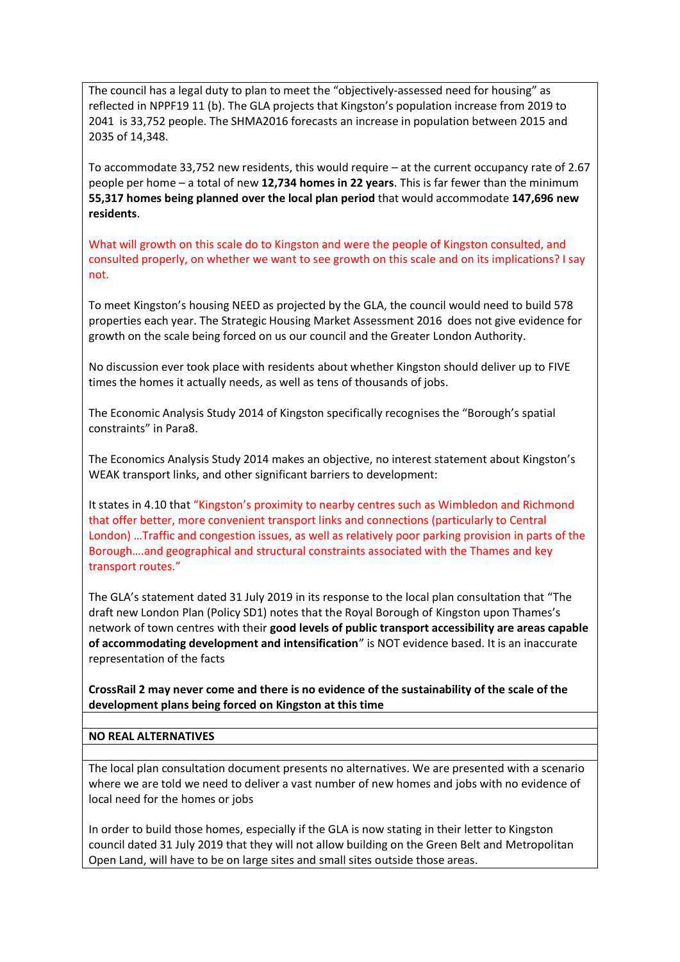The council has a legal duty to plan to meet the "objectively-assessed need for housing" as reflected in NPPF19 11 (b). The GLA projects that Kingston's population increase from 2019 to 2041 is 33,752 people. The SHMA2016 forecasts an increase in population between 2015 and 2035 of 14,348.

To accommodate 33,752 new residents, this would require – at the current occupancy rate of 2.67 people per home – a total of new **12,734 homes in 22 years**. This is far fewer than the minimum **55,317 homes being planned over the local plan period** that would accommodate **147,696 new residents**.

What will growth on this scale do to Kingston and were the people of Kingston consulted, and consulted properly, on whether we want to see growth on this scale and on its implications? I say not.

To meet Kingston's housing NEED as projected by the GLA, the council would need to build 578 properties each year. The Strategic Housing Market Assessment 2016 does not give evidence for growth on the scale being forced on us our council and the Greater London Authority.

No discussion ever took place with residents about whether Kingston should deliver up to FIVE times the homes it actually needs, as well as tens of thousands of jobs.

The Economic Analysis Study 2014 of Kingston specifically recognises the "Borough's spatial constraints" in Para8.

The Economics Analysis Study 2014 makes an objective, no interest statement about Kingston's WEAK transport links, and other significant barriers to development:

It states in 4.10 that "Kingston's proximity to nearby centres such as Wimbledon and Richmond that offer better, more convenient transport links and connections (particularly to Central London) …Traffic and congestion issues, as well as relatively poor parking provision in parts of the Borough….and geographical and structural constraints associated with the Thames and key transport routes."

The GLA's statement dated 31 July 2019 in its response to the local plan consultation that "The draft new London Plan (Policy SD1) notes that the Royal Borough of Kingston upon Thames's network of town centres with their **good levels of public transport accessibility are areas capable of accommodating development and intensification**" is NOT evidence based. It is an inaccurate representation of the facts

**CrossRail 2 may never come and there is no evidence of the sustainability of the scale of the development plans being forced on Kingston at this time**

#### **NO REAL ALTERNATIVES**

The local plan consultation document presents no alternatives. We are presented with a scenario where we are told we need to deliver a vast number of new homes and jobs with no evidence of local need for the homes or jobs

In order to build those homes, especially if the GLA is now stating in their letter to Kingston council dated 31 July 2019 that they will not allow building on the Green Belt and Metropolitan Open Land, will have to be on large sites and small sites outside those areas.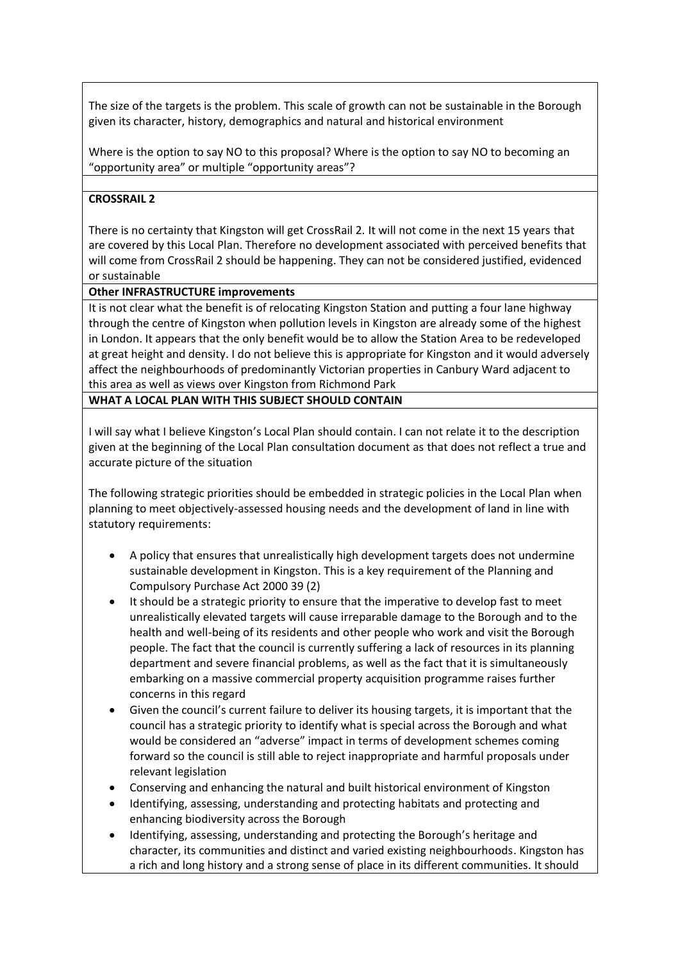The size of the targets is the problem. This scale of growth can not be sustainable in the Borough given its character, history, demographics and natural and historical environment

Where is the option to say NO to this proposal? Where is the option to say NO to becoming an "opportunity area" or multiple "opportunity areas"?

# **CROSSRAIL 2**

There is no certainty that Kingston will get CrossRail 2. It will not come in the next 15 years that are covered by this Local Plan. Therefore no development associated with perceived benefits that will come from CrossRail 2 should be happening. They can not be considered justified, evidenced or sustainable

#### **Other INFRASTRUCTURE improvements**

It is not clear what the benefit is of relocating Kingston Station and putting a four lane highway through the centre of Kingston when pollution levels in Kingston are already some of the highest in London. It appears that the only benefit would be to allow the Station Area to be redeveloped at great height and density. I do not believe this is appropriate for Kingston and it would adversely affect the neighbourhoods of predominantly Victorian properties in Canbury Ward adjacent to this area as well as views over Kingston from Richmond Park

**WHAT A LOCAL PLAN WITH THIS SUBJECT SHOULD CONTAIN**

I will say what I believe Kingston's Local Plan should contain. I can not relate it to the description given at the beginning of the Local Plan consultation document as that does not reflect a true and accurate picture of the situation

The following strategic priorities should be embedded in strategic policies in the Local Plan when planning to meet objectively-assessed housing needs and the development of land in line with statutory requirements:

- A policy that ensures that unrealistically high development targets does not undermine sustainable development in Kingston. This is a key requirement of the Planning and Compulsory Purchase Act 2000 39 (2)
- It should be a strategic priority to ensure that the imperative to develop fast to meet unrealistically elevated targets will cause irreparable damage to the Borough and to the health and well-being of its residents and other people who work and visit the Borough people. The fact that the council is currently suffering a lack of resources in its planning department and severe financial problems, as well as the fact that it is simultaneously embarking on a massive commercial property acquisition programme raises further concerns in this regard
- Given the council's current failure to deliver its housing targets, it is important that the council has a strategic priority to identify what is special across the Borough and what would be considered an "adverse" impact in terms of development schemes coming forward so the council is still able to reject inappropriate and harmful proposals under relevant legislation
- Conserving and enhancing the natural and built historical environment of Kingston
- Identifying, assessing, understanding and protecting habitats and protecting and enhancing biodiversity across the Borough
- Identifying, assessing, understanding and protecting the Borough's heritage and character, its communities and distinct and varied existing neighbourhoods. Kingston has a rich and long history and a strong sense of place in its different communities. It should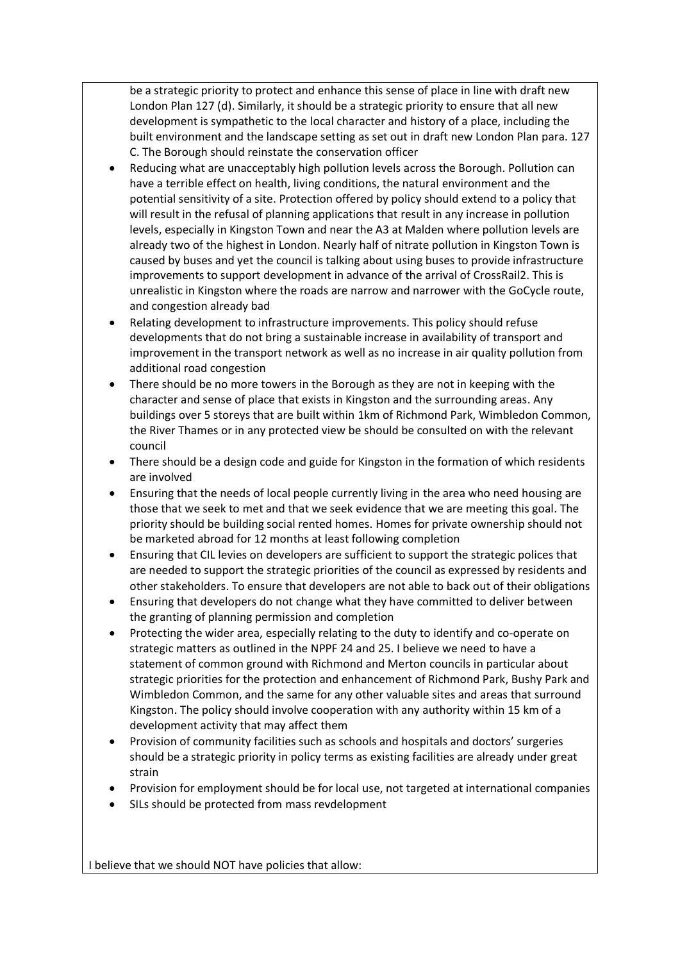be a strategic priority to protect and enhance this sense of place in line with draft new London Plan 127 (d). Similarly, it should be a strategic priority to ensure that all new development is sympathetic to the local character and history of a place, including the built environment and the landscape setting as set out in draft new London Plan para. 127 C. The Borough should reinstate the conservation officer

- Reducing what are unacceptably high pollution levels across the Borough. Pollution can have a terrible effect on health, living conditions, the natural environment and the potential sensitivity of a site. Protection offered by policy should extend to a policy that will result in the refusal of planning applications that result in any increase in pollution levels, especially in Kingston Town and near the A3 at Malden where pollution levels are already two of the highest in London. Nearly half of nitrate pollution in Kingston Town is caused by buses and yet the council is talking about using buses to provide infrastructure improvements to support development in advance of the arrival of CrossRail2. This is unrealistic in Kingston where the roads are narrow and narrower with the GoCycle route, and congestion already bad
- Relating development to infrastructure improvements. This policy should refuse developments that do not bring a sustainable increase in availability of transport and improvement in the transport network as well as no increase in air quality pollution from additional road congestion
- There should be no more towers in the Borough as they are not in keeping with the character and sense of place that exists in Kingston and the surrounding areas. Any buildings over 5 storeys that are built within 1km of Richmond Park, Wimbledon Common, the River Thames or in any protected view be should be consulted on with the relevant council
- There should be a design code and guide for Kingston in the formation of which residents are involved
- Ensuring that the needs of local people currently living in the area who need housing are those that we seek to met and that we seek evidence that we are meeting this goal. The priority should be building social rented homes. Homes for private ownership should not be marketed abroad for 12 months at least following completion
- Ensuring that CIL levies on developers are sufficient to support the strategic polices that are needed to support the strategic priorities of the council as expressed by residents and other stakeholders. To ensure that developers are not able to back out of their obligations
- Ensuring that developers do not change what they have committed to deliver between the granting of planning permission and completion
- Protecting the wider area, especially relating to the duty to identify and co-operate on strategic matters as outlined in the NPPF 24 and 25. I believe we need to have a statement of common ground with Richmond and Merton councils in particular about strategic priorities for the protection and enhancement of Richmond Park, Bushy Park and Wimbledon Common, and the same for any other valuable sites and areas that surround Kingston. The policy should involve cooperation with any authority within 15 km of a development activity that may affect them
- Provision of community facilities such as schools and hospitals and doctors' surgeries should be a strategic priority in policy terms as existing facilities are already under great strain
- Provision for employment should be for local use, not targeted at international companies
- SILs should be protected from mass revdelopment

I believe that we should NOT have policies that allow: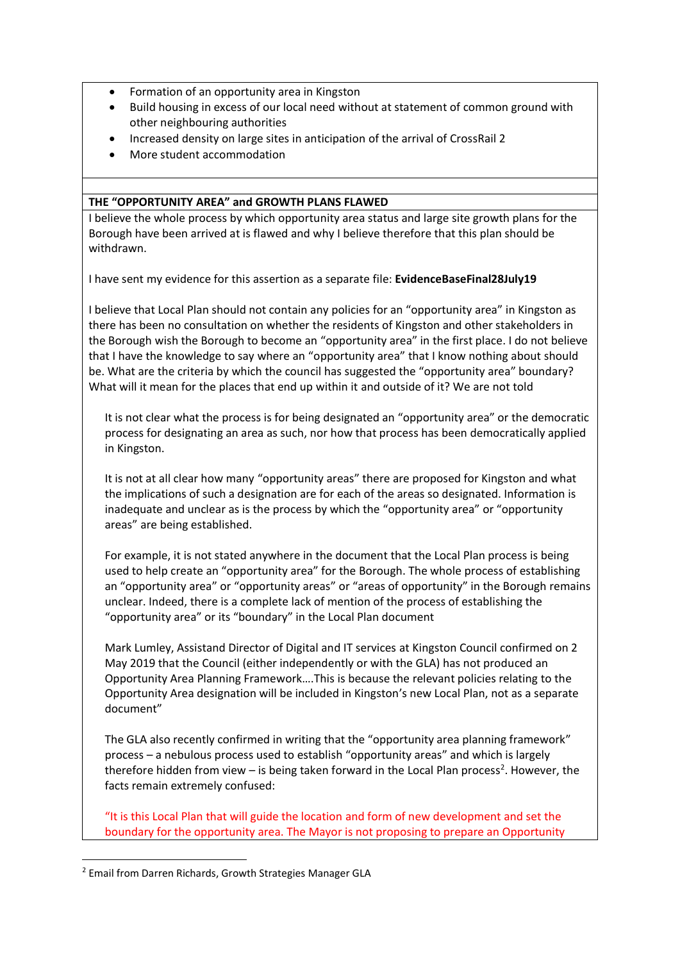- Formation of an opportunity area in Kingston
- Build housing in excess of our local need without at statement of common ground with other neighbouring authorities
- Increased density on large sites in anticipation of the arrival of CrossRail 2
- More student accommodation

#### **THE "OPPORTUNITY AREA" and GROWTH PLANS FLAWED**

I believe the whole process by which opportunity area status and large site growth plans for the Borough have been arrived at is flawed and why I believe therefore that this plan should be withdrawn.

I have sent my evidence for this assertion as a separate file: **EvidenceBaseFinal28July19**

I believe that Local Plan should not contain any policies for an "opportunity area" in Kingston as there has been no consultation on whether the residents of Kingston and other stakeholders in the Borough wish the Borough to become an "opportunity area" in the first place. I do not believe that I have the knowledge to say where an "opportunity area" that I know nothing about should be. What are the criteria by which the council has suggested the "opportunity area" boundary? What will it mean for the places that end up within it and outside of it? We are not told

It is not clear what the process is for being designated an "opportunity area" or the democratic process for designating an area as such, nor how that process has been democratically applied in Kingston.

It is not at all clear how many "opportunity areas" there are proposed for Kingston and what the implications of such a designation are for each of the areas so designated. Information is inadequate and unclear as is the process by which the "opportunity area" or "opportunity areas" are being established.

For example, it is not stated anywhere in the document that the Local Plan process is being used to help create an "opportunity area" for the Borough. The whole process of establishing an "opportunity area" or "opportunity areas" or "areas of opportunity" in the Borough remains unclear. Indeed, there is a complete lack of mention of the process of establishing the "opportunity area" or its "boundary" in the Local Plan document

Mark Lumley, Assistand Director of Digital and IT services at Kingston Council confirmed on 2 May 2019 that the Council (either independently or with the GLA) has not produced an Opportunity Area Planning Framework….This is because the relevant policies relating to the Opportunity Area designation will be included in Kingston's new Local Plan, not as a separate document"

The GLA also recently confirmed in writing that the "opportunity area planning framework" process – a nebulous process used to establish "opportunity areas" and which is largely therefore hidden from view  $-$  is being taken forward in the Local Plan process<sup>2</sup>. However, the facts remain extremely confused:

"It is this Local Plan that will guide the location and form of new development and set the boundary for the opportunity area. The Mayor is not proposing to prepare an Opportunity

1

<sup>2</sup> Email from Darren Richards, Growth Strategies Manager GLA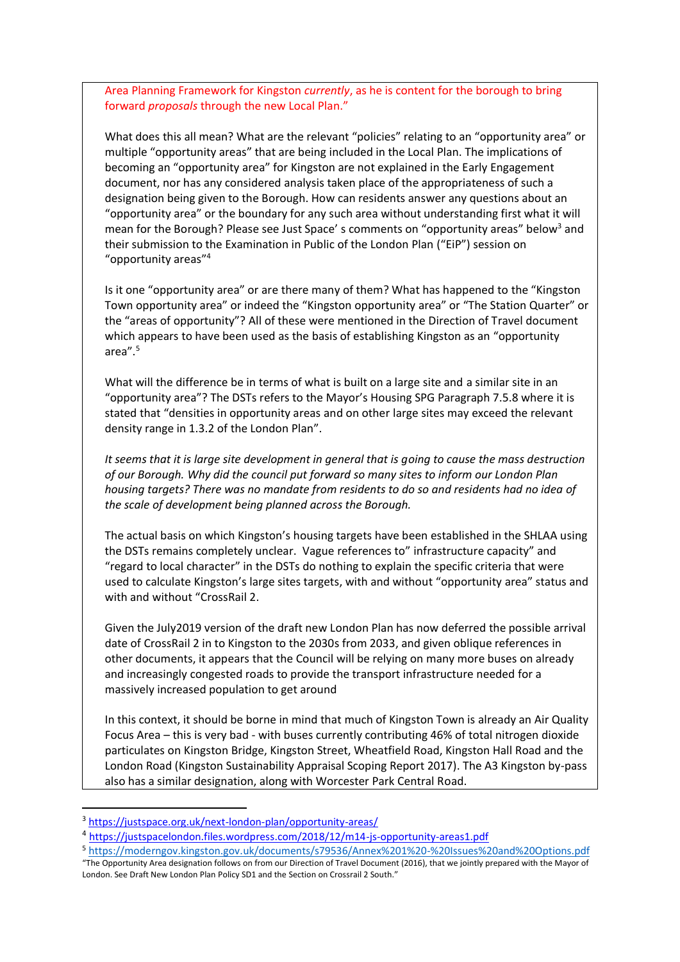Area Planning Framework for Kingston *currently*, as he is content for the borough to bring forward *proposals* through the new Local Plan."

What does this all mean? What are the relevant "policies" relating to an "opportunity area" or multiple "opportunity areas" that are being included in the Local Plan. The implications of becoming an "opportunity area" for Kingston are not explained in the Early Engagement document, nor has any considered analysis taken place of the appropriateness of such a designation being given to the Borough. How can residents answer any questions about an "opportunity area" or the boundary for any such area without understanding first what it will mean for the Borough? Please see Just Space's comments on "opportunity areas" below<sup>3</sup> and their submission to the Examination in Public of the London Plan ("EiP") session on "opportunity areas"<sup>4</sup>

Is it one "opportunity area" or are there many of them? What has happened to the "Kingston Town opportunity area" or indeed the "Kingston opportunity area" or "The Station Quarter" or the "areas of opportunity"? All of these were mentioned in the Direction of Travel document which appears to have been used as the basis of establishing Kingston as an "opportunity area". 5

What will the difference be in terms of what is built on a large site and a similar site in an "opportunity area"? The DSTs refers to the Mayor's Housing SPG Paragraph 7.5.8 where it is stated that "densities in opportunity areas and on other large sites may exceed the relevant density range in 1.3.2 of the London Plan".

*It seems that it is large site development in general that is going to cause the mass destruction of our Borough. Why did the council put forward so many sites to inform our London Plan housing targets? There was no mandate from residents to do so and residents had no idea of the scale of development being planned across the Borough.*

The actual basis on which Kingston's housing targets have been established in the SHLAA using the DSTs remains completely unclear. Vague references to" infrastructure capacity" and "regard to local character" in the DSTs do nothing to explain the specific criteria that were used to calculate Kingston's large sites targets, with and without "opportunity area" status and with and without "CrossRail 2.

Given the July2019 version of the draft new London Plan has now deferred the possible arrival date of CrossRail 2 in to Kingston to the 2030s from 2033, and given oblique references in other documents, it appears that the Council will be relying on many more buses on already and increasingly congested roads to provide the transport infrastructure needed for a massively increased population to get around

In this context, it should be borne in mind that much of Kingston Town is already an Air Quality Focus Area – this is very bad - with buses currently contributing 46% of total nitrogen dioxide particulates on Kingston Bridge, Kingston Street, Wheatfield Road, Kingston Hall Road and the London Road (Kingston Sustainability Appraisal Scoping Report 2017). The A3 Kingston by-pass also has a similar designation, along with Worcester Park Central Road.

1

<sup>3</sup> <https://justspace.org.uk/next-london-plan/opportunity-areas/>

<sup>&</sup>lt;sup>4</sup> <https://justspacelondon.files.wordpress.com/2018/12/m14-js-opportunity-areas1.pdf>

<sup>5</sup> <https://moderngov.kingston.gov.uk/documents/s79536/Annex%201%20-%20Issues%20and%20Options.pdf>

<sup>&</sup>quot;The Opportunity Area designation follows on from our Direction of Travel Document (2016), that we jointly prepared with the Mayor of London. See Draft New London Plan Policy SD1 and the Section on Crossrail 2 South."